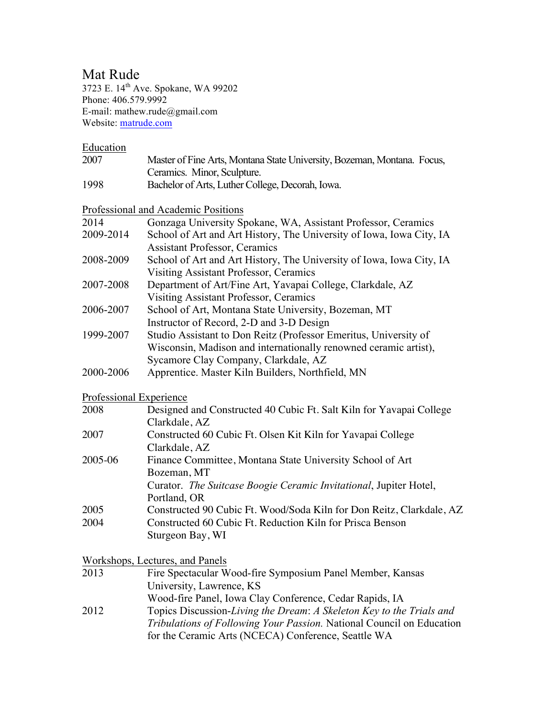## Mat Rude

3723 E. 14<sup>th</sup> Ave. Spokane, WA 99202 Phone: 406.579.9992 E-mail: mathew.rude@gmail.com Website: matrude.com

**Education** 

- 2007 Master of Fine Arts, Montana State University, Bozeman, Montana. Focus, Ceramics. Minor, Sculpture.
- 1998 Bachelor of Arts, Luther College, Decorah, Iowa.

Professional and Academic Positions

| 2014      | Gonzaga University Spokane, WA, Assistant Professor, Ceramics        |
|-----------|----------------------------------------------------------------------|
| 2009-2014 | School of Art and Art History, The University of Iowa, Iowa City, IA |
|           | <b>Assistant Professor, Ceramics</b>                                 |
| 2008-2009 | School of Art and Art History, The University of Iowa, Iowa City, IA |
|           | Visiting Assistant Professor, Ceramics                               |
| 2007-2008 | Department of Art/Fine Art, Yavapai College, Clarkdale, AZ           |
|           | <b>Visiting Assistant Professor, Ceramics</b>                        |
| 2006-2007 | School of Art, Montana State University, Bozeman, MT                 |
|           | Instructor of Record, 2-D and 3-D Design                             |
| 1999-2007 | Studio Assistant to Don Reitz (Professor Emeritus, University of     |
|           | Wisconsin, Madison and internationally renowned ceramic artist),     |
|           | Sycamore Clay Company, Clarkdale, AZ                                 |
| 2000-2006 | Apprentice. Master Kiln Builders, Northfield, MN                     |

#### Professional Experience

| 2008    | Designed and Constructed 40 Cubic Ft. Salt Kiln for Yavapai College  |
|---------|----------------------------------------------------------------------|
|         | Clarkdale, AZ                                                        |
| 2007    | Constructed 60 Cubic Ft. Olsen Kit Kiln for Yavapai College          |
|         | Clarkdale, AZ                                                        |
| 2005-06 | Finance Committee, Montana State University School of Art            |
|         | Bozeman, MT                                                          |
|         | Curator. The Suitcase Boogie Ceramic Invitational, Jupiter Hotel,    |
|         | Portland, OR                                                         |
| 2005    | Constructed 90 Cubic Ft. Wood/Soda Kiln for Don Reitz, Clarkdale, AZ |
| 2004    | Constructed 60 Cubic Ft. Reduction Kiln for Prisca Benson            |
|         | Sturgeon Bay, WI                                                     |

Workshops, Lectures, and Panels

| 2013 | Fire Spectacular Wood-fire Symposium Panel Member, Kansas                    |
|------|------------------------------------------------------------------------------|
|      | University, Lawrence, KS                                                     |
|      | Wood-fire Panel, Iowa Clay Conference, Cedar Rapids, IA                      |
| 2012 | Topics Discussion-Living the Dream: A Skeleton Key to the Trials and         |
|      | <i>Tribulations of Following Your Passion.</i> National Council on Education |

for the Ceramic Arts (NCECA) Conference, Seattle WA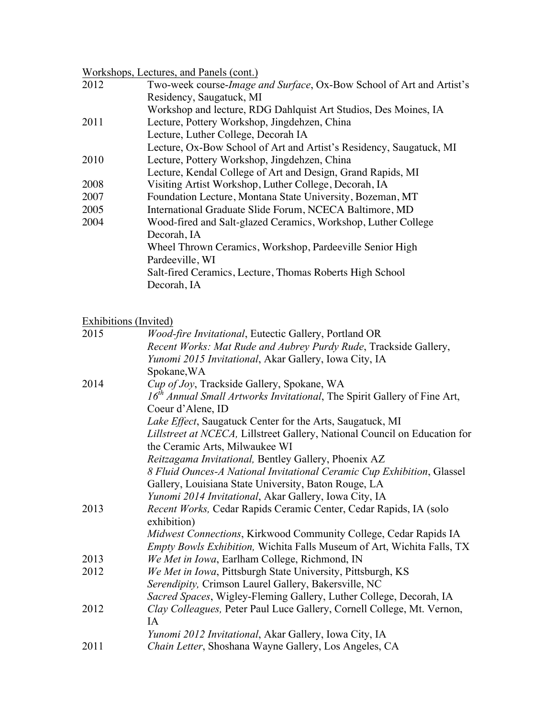## Workshops, Lectures, and Panels (cont.)

| 2012 | Two-week course-Image and Surface, Ox-Bow School of Art and Artist's |
|------|----------------------------------------------------------------------|
|      | Residency, Saugatuck, MI                                             |
|      | Workshop and lecture, RDG Dahlquist Art Studios, Des Moines, IA      |
| 2011 | Lecture, Pottery Workshop, Jingdehzen, China                         |
|      | Lecture, Luther College, Decorah IA                                  |
|      | Lecture, Ox-Bow School of Art and Artist's Residency, Saugatuck, MI  |
| 2010 | Lecture, Pottery Workshop, Jingdehzen, China                         |
|      | Lecture, Kendal College of Art and Design, Grand Rapids, MI          |
| 2008 | Visiting Artist Workshop, Luther College, Decorah, IA                |
| 2007 | Foundation Lecture, Montana State University, Bozeman, MT            |
| 2005 | International Graduate Slide Forum, NCECA Baltimore, MD              |
| 2004 | Wood-fired and Salt-glazed Ceramics, Workshop, Luther College        |
|      | Decorah, IA                                                          |
|      | Wheel Thrown Ceramics, Workshop, Pardeeville Senior High             |
|      | Pardeeville, WI                                                      |
|      | Salt-fired Ceramics, Lecture, Thomas Roberts High School             |
|      | Decorah, IA                                                          |

#### Exhibitions (Invited)

| 2015 | <i>Wood-fire Invitational</i> , Eutectic Gallery, Portland OR                        |
|------|--------------------------------------------------------------------------------------|
|      | Recent Works: Mat Rude and Aubrey Purdy Rude, Trackside Gallery,                     |
|      | Yunomi 2015 Invitational, Akar Gallery, Iowa City, IA                                |
|      | Spokane, WA                                                                          |
| 2014 | Cup of Joy, Trackside Gallery, Spokane, WA                                           |
|      | 16 <sup>th</sup> Annual Small Artworks Invitational, The Spirit Gallery of Fine Art, |
|      | Coeur d'Alene, ID                                                                    |
|      | Lake Effect, Saugatuck Center for the Arts, Saugatuck, MI                            |
|      | Lillstreet at NCECA, Lillstreet Gallery, National Council on Education for           |
|      | the Ceramic Arts, Milwaukee WI                                                       |
|      | Reitzagama Invitational, Bentley Gallery, Phoenix AZ                                 |
|      | 8 Fluid Ounces-A National Invitational Ceramic Cup Exhibition, Glassel               |
|      | Gallery, Louisiana State University, Baton Rouge, LA                                 |
|      | Yunomi 2014 Invitational, Akar Gallery, Iowa City, IA                                |
| 2013 | Recent Works, Cedar Rapids Ceramic Center, Cedar Rapids, IA (solo                    |
|      | exhibition)                                                                          |
|      | Midwest Connections, Kirkwood Community College, Cedar Rapids IA                     |
|      | <i>Empty Bowls Exhibition, Wichita Falls Museum of Art, Wichita Falls, TX</i>        |
| 2013 | We Met in Iowa, Earlham College, Richmond, IN                                        |
| 2012 | We Met in Iowa, Pittsburgh State University, Pittsburgh, KS                          |
|      | Serendipity, Crimson Laurel Gallery, Bakersville, NC                                 |
|      | Sacred Spaces, Wigley-Fleming Gallery, Luther College, Decorah, IA                   |
| 2012 | Clay Colleagues, Peter Paul Luce Gallery, Cornell College, Mt. Vernon,               |
|      | <b>IA</b>                                                                            |
|      | Yunomi 2012 Invitational, Akar Gallery, Iowa City, IA                                |
| 2011 | Chain Letter, Shoshana Wayne Gallery, Los Angeles, CA                                |
|      |                                                                                      |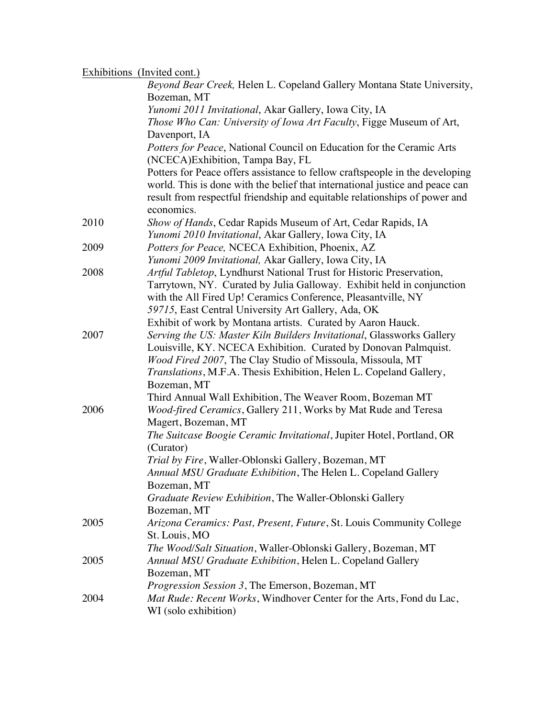### Exhibitions (Invited cont.)

|      | Beyond Bear Creek, Helen L. Copeland Gallery Montana State University,<br>Bozeman, MT                                                                                                                                                                    |
|------|----------------------------------------------------------------------------------------------------------------------------------------------------------------------------------------------------------------------------------------------------------|
|      | Yunomi 2011 Invitational, Akar Gallery, Iowa City, IA                                                                                                                                                                                                    |
|      | Those Who Can: University of Iowa Art Faculty, Figge Museum of Art,                                                                                                                                                                                      |
|      | Davenport, IA                                                                                                                                                                                                                                            |
|      | Potters for Peace, National Council on Education for the Ceramic Arts<br>(NCECA) Exhibition, Tampa Bay, FL                                                                                                                                               |
|      | Potters for Peace offers assistance to fellow craftspeople in the developing<br>world. This is done with the belief that international justice and peace can<br>result from respectful friendship and equitable relationships of power and<br>economics. |
| 2010 | Show of Hands, Cedar Rapids Museum of Art, Cedar Rapids, IA                                                                                                                                                                                              |
|      | Yunomi 2010 Invitational, Akar Gallery, Iowa City, IA                                                                                                                                                                                                    |
| 2009 | Potters for Peace, NCECA Exhibition, Phoenix, AZ                                                                                                                                                                                                         |
|      | Yunomi 2009 Invitational, Akar Gallery, Iowa City, IA                                                                                                                                                                                                    |
| 2008 | Artful Tabletop, Lyndhurst National Trust for Historic Preservation,                                                                                                                                                                                     |
|      | Tarrytown, NY. Curated by Julia Galloway. Exhibit held in conjunction                                                                                                                                                                                    |
|      | with the All Fired Up! Ceramics Conference, Pleasantville, NY                                                                                                                                                                                            |
|      | 59715, East Central University Art Gallery, Ada, OK                                                                                                                                                                                                      |
|      | Exhibit of work by Montana artists. Curated by Aaron Hauck.                                                                                                                                                                                              |
| 2007 | Serving the US: Master Kiln Builders Invitational, Glassworks Gallery                                                                                                                                                                                    |
|      | Louisville, KY. NCECA Exhibition. Curated by Donovan Palmquist.<br>Wood Fired 2007, The Clay Studio of Missoula, Missoula, MT                                                                                                                            |
|      | Translations, M.F.A. Thesis Exhibition, Helen L. Copeland Gallery,                                                                                                                                                                                       |
|      | Bozeman, MT                                                                                                                                                                                                                                              |
|      | Third Annual Wall Exhibition, The Weaver Room, Bozeman MT                                                                                                                                                                                                |
| 2006 | Wood-fired Ceramics, Gallery 211, Works by Mat Rude and Teresa                                                                                                                                                                                           |
|      | Magert, Bozeman, MT                                                                                                                                                                                                                                      |
|      | The Suitcase Boogie Ceramic Invitational, Jupiter Hotel, Portland, OR<br>(Curator)                                                                                                                                                                       |
|      | Trial by Fire, Waller-Oblonski Gallery, Bozeman, MT                                                                                                                                                                                                      |
|      | Annual MSU Graduate Exhibition, The Helen L. Copeland Gallery                                                                                                                                                                                            |
|      | Bozeman, MT                                                                                                                                                                                                                                              |
|      | Graduate Review Exhibition, The Waller-Oblonski Gallery                                                                                                                                                                                                  |
|      | Bozeman, MT                                                                                                                                                                                                                                              |
| 2005 | Arizona Ceramics: Past, Present, Future, St. Louis Community College                                                                                                                                                                                     |
|      | St. Louis, MO                                                                                                                                                                                                                                            |
|      | <i>The Wood/Salt Situation, Waller-Oblonski Gallery, Bozeman, MT</i>                                                                                                                                                                                     |
| 2005 | Annual MSU Graduate Exhibition, Helen L. Copeland Gallery                                                                                                                                                                                                |
|      | Bozeman, MT                                                                                                                                                                                                                                              |
|      | <i>Progression Session 3</i> , The Emerson, Bozeman, MT                                                                                                                                                                                                  |
| 2004 | <i>Mat Rude: Recent Works, Windhover Center for the Arts, Fond du Lac,</i>                                                                                                                                                                               |
|      | WI (solo exhibition)                                                                                                                                                                                                                                     |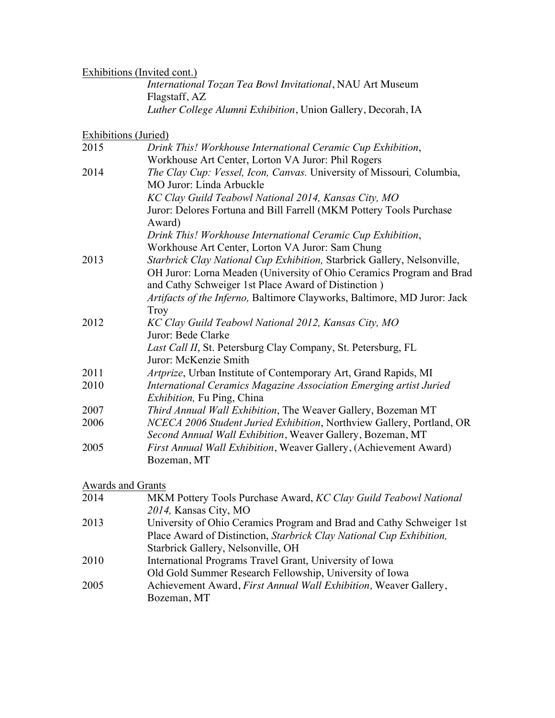# Exhibitions (Invited cont.)

| <i>International Tozan Tea Bowl Invitational</i> , NAU Art Museum |  |
|-------------------------------------------------------------------|--|
| Flagstaff, AZ                                                     |  |
| Luther College Alumni Exhibition, Union Gallery, Decorah, IA      |  |

# Exhibitions (Juried)

| 2015 | Drink This! Workhouse International Ceramic Cup Exhibition,              |
|------|--------------------------------------------------------------------------|
|      | Workhouse Art Center, Lorton VA Juror: Phil Rogers                       |
| 2014 | The Clay Cup: Vessel, Icon, Canvas. University of Missouri, Columbia,    |
|      | MO Juror: Linda Arbuckle                                                 |
|      | KC Clay Guild Teabowl National 2014, Kansas City, MO                     |
|      | Juror: Delores Fortuna and Bill Farrell (MKM Pottery Tools Purchase      |
|      | Award)                                                                   |
|      | Drink This! Workhouse International Ceramic Cup Exhibition,              |
|      | Workhouse Art Center, Lorton VA Juror: Sam Chung                         |
| 2013 | Starbrick Clay National Cup Exhibition, Starbrick Gallery, Nelsonville,  |
|      | OH Juror: Lorna Meaden (University of Ohio Ceramics Program and Brad     |
|      | and Cathy Schweiger 1st Place Award of Distinction)                      |
|      | Artifacts of the Inferno, Baltimore Clayworks, Baltimore, MD Juror: Jack |
|      | <b>Troy</b>                                                              |
| 2012 | KC Clay Guild Teabowl National 2012, Kansas City, MO                     |
|      | Juror: Bede Clarke                                                       |
|      | <i>Last Call II</i> , St. Petersburg Clay Company, St. Petersburg, FL    |
|      | Juror: McKenzie Smith                                                    |
| 2011 | Artprize, Urban Institute of Contemporary Art, Grand Rapids, MI          |
| 2010 | International Ceramics Magazine Association Emerging artist Juried       |
|      | <i>Exhibition</i> , Fu Ping, China                                       |
| 2007 | Third Annual Wall Exhibition, The Weaver Gallery, Bozeman MT             |
| 2006 | NCECA 2006 Student Juried Exhibition, Northview Gallery, Portland, OR    |
|      | Second Annual Wall Exhibition, Weaver Gallery, Bozeman, MT               |
| 2005 | First Annual Wall Exhibition, Weaver Gallery, (Achievement Award)        |
|      | Bozeman, MT                                                              |

### Awards and Grants

| 2014 | MKM Pottery Tools Purchase Award, KC Clay Guild Teabowl National     |
|------|----------------------------------------------------------------------|
|      | 2014, Kansas City, MO                                                |
| 2013 | University of Ohio Ceramics Program and Brad and Cathy Schweiger 1st |
|      | Place Award of Distinction, Starbrick Clay National Cup Exhibition,  |
|      | Starbrick Gallery, Nelsonville, OH                                   |
| 2010 | International Programs Travel Grant, University of Iowa              |
|      | Old Gold Summer Research Fellowship, University of Iowa              |
| 2005 | Achievement Award, First Annual Wall Exhibition, Weaver Gallery,     |
|      | Bozeman, MT                                                          |
|      |                                                                      |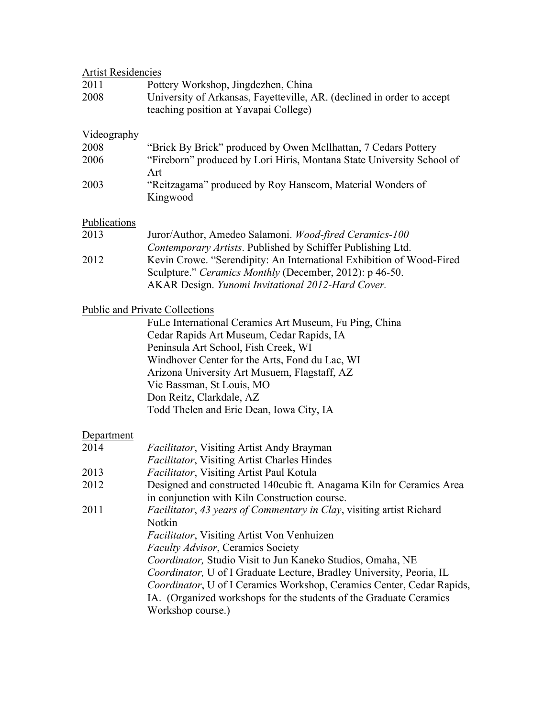| <b>Artist Residencies</b> |                                                                        |
|---------------------------|------------------------------------------------------------------------|
| 2011                      | Pottery Workshop, Jingdezhen, China                                    |
| 2008                      | University of Arkansas, Fayetteville, AR. (declined in order to accept |
|                           | teaching position at Yavapai College)                                  |
|                           |                                                                        |
| Videography               |                                                                        |
| 2008                      | "Brick By Brick" produced by Owen McIlhattan, 7 Cedars Pottery         |
| 2006                      | "Fireborn" produced by Lori Hiris, Montana State University School of  |
|                           | Art                                                                    |
| 2003                      | "Reitzagama" produced by Roy Hanscom, Material Wonders of              |
|                           | Kingwood                                                               |
|                           |                                                                        |
| Publications              |                                                                        |
| 2013                      | Juror/Author, Amedeo Salamoni. Wood-fired Ceramics-100                 |
|                           | Contemporary Artists. Published by Schiffer Publishing Ltd.            |
| 2012                      | Kevin Crowe. "Serendipity: An International Exhibition of Wood-Fired   |
|                           | Sculpture." Ceramics Monthly (December, 2012): p 46-50.                |
|                           | AKAR Design. Yunomi Invitational 2012-Hard Cover.                      |
|                           |                                                                        |
|                           | <b>Public and Private Collections</b>                                  |
|                           | FuLe International Ceramics Art Museum, Fu Ping, China                 |
|                           | Cedar Rapids Art Museum, Cedar Rapids, IA                              |
|                           | Peninsula Art School, Fish Creek, WI                                   |
|                           | Windhover Center for the Arts, Fond du Lac, WI                         |
|                           | Arizona University Art Musuem, Flagstaff, AZ                           |
|                           | Vic Bassman, St Louis, MO                                              |
|                           | Don Reitz, Clarkdale, AZ                                               |
|                           | Todd Thelen and Eric Dean, Iowa City, IA                               |
|                           |                                                                        |
| Department                |                                                                        |
| 2014                      | <b>Facilitator, Visiting Artist Andy Brayman</b>                       |
|                           | <b>Facilitator, Visiting Artist Charles Hindes</b>                     |
| 2013                      | <i>Facilitator</i> , Visiting Artist Paul Kotula                       |
| 2012                      | Designed and constructed 140cubic ft. Anagama Kiln for Ceramics Area   |
|                           | in conjunction with Kiln Construction course.                          |
| 2011                      | Facilitator, 43 years of Commentary in Clay, visiting artist Richard   |
|                           | Notkin                                                                 |
|                           | <b>Facilitator, Visiting Artist Von Venhuizen</b>                      |
|                           | <b>Faculty Advisor, Ceramics Society</b>                               |
|                           | Coordinator, Studio Visit to Jun Kaneko Studios, Omaha, NE             |
|                           | Coordinator, U of I Graduate Lecture, Bradley University, Peoria, IL   |
|                           | Coordinator, U of I Ceramics Workshop, Ceramics Center, Cedar Rapids,  |
|                           | IA. (Organized workshops for the students of the Graduate Ceramics     |
|                           | Workshop course.)                                                      |
|                           |                                                                        |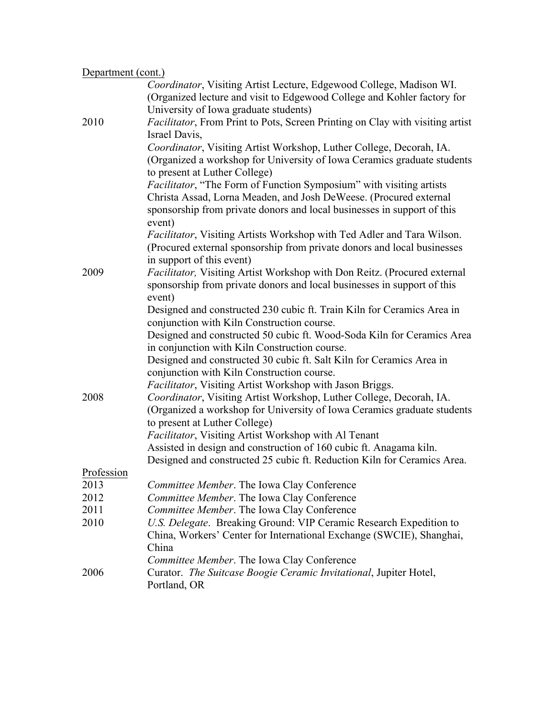| Department (cont.) |                                                                                       |  |
|--------------------|---------------------------------------------------------------------------------------|--|
|                    | Coordinator, Visiting Artist Lecture, Edgewood College, Madison WI.                   |  |
|                    | (Organized lecture and visit to Edgewood College and Kohler factory for               |  |
|                    | University of Iowa graduate students)                                                 |  |
| 2010               | <i>Facilitator</i> , From Print to Pots, Screen Printing on Clay with visiting artist |  |
|                    | Israel Davis,                                                                         |  |
|                    | Coordinator, Visiting Artist Workshop, Luther College, Decorah, IA.                   |  |
|                    | (Organized a workshop for University of Iowa Ceramics graduate students               |  |
|                    | to present at Luther College)                                                         |  |
|                    | Facilitator, "The Form of Function Symposium" with visiting artists                   |  |
|                    | Christa Assad, Lorna Meaden, and Josh DeWeese. (Procured external                     |  |
|                    | sponsorship from private donors and local businesses in support of this               |  |
|                    | event)                                                                                |  |
|                    | Facilitator, Visiting Artists Workshop with Ted Adler and Tara Wilson.                |  |
|                    | (Procured external sponsorship from private donors and local businesses               |  |
|                    | in support of this event)                                                             |  |
| 2009               | Facilitator, Visiting Artist Workshop with Don Reitz. (Procured external              |  |
|                    | sponsorship from private donors and local businesses in support of this               |  |
|                    | event)                                                                                |  |
|                    | Designed and constructed 230 cubic ft. Train Kiln for Ceramics Area in                |  |
|                    | conjunction with Kiln Construction course.                                            |  |
|                    | Designed and constructed 50 cubic ft. Wood-Soda Kiln for Ceramics Area                |  |
|                    | in conjunction with Kiln Construction course.                                         |  |
|                    | Designed and constructed 30 cubic ft. Salt Kiln for Ceramics Area in                  |  |
|                    | conjunction with Kiln Construction course.                                            |  |
|                    | <i>Facilitator</i> , Visiting Artist Workshop with Jason Briggs.                      |  |
| 2008               | Coordinator, Visiting Artist Workshop, Luther College, Decorah, IA.                   |  |
|                    | (Organized a workshop for University of Iowa Ceramics graduate students               |  |
|                    | to present at Luther College)                                                         |  |
|                    | Facilitator, Visiting Artist Workshop with Al Tenant                                  |  |
|                    | Assisted in design and construction of 160 cubic ft. Anagama kiln.                    |  |
|                    | Designed and constructed 25 cubic ft. Reduction Kiln for Ceramics Area.               |  |
| Profession         |                                                                                       |  |
| 2013               | <i>Committee Member.</i> The Iowa Clay Conference                                     |  |
| 2012               | Committee Member. The Iowa Clay Conference                                            |  |
| 2011               | Committee Member. The Iowa Clay Conference                                            |  |
| 2010               | U.S. Delegate. Breaking Ground: VIP Ceramic Research Expedition to                    |  |
|                    | China, Workers' Center for International Exchange (SWCIE), Shanghai,                  |  |
|                    | China                                                                                 |  |
|                    | Committee Member. The Iowa Clay Conference                                            |  |
| 2006               | Curator. The Suitcase Boogie Ceramic Invitational, Jupiter Hotel,                     |  |
|                    | Portland, OR                                                                          |  |
|                    |                                                                                       |  |